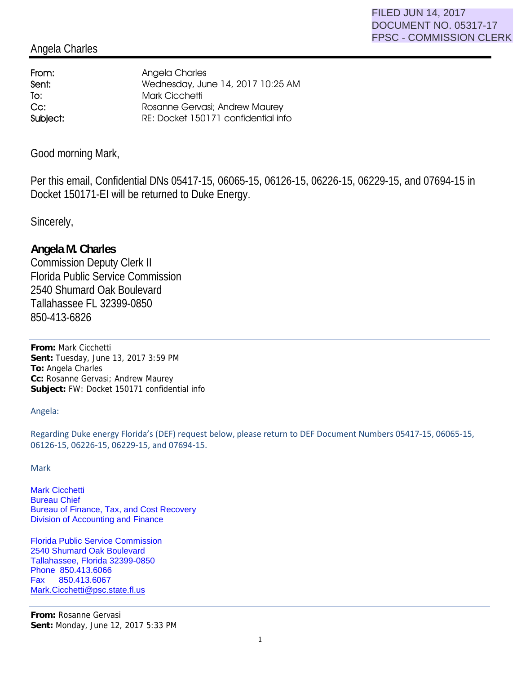## Angela Charles

From: Angela Charles To: Mark Cicchetti

Sent: Wednesday, June 14, 2017 10:25 AM Cc: Rosanne Gervasi; Andrew Maurey Subject: RE: Docket 150171 confidential info

Good morning Mark,

Per this email, Confidential DNs 05417-15, 06065-15, 06126-15, 06226-15, 06229-15, and 07694-15 in Docket 150171-EI will be returned to Duke Energy.

Sincerely,

## **Angela M. Charles**

Commission Deputy Clerk II Florida Public Service Commission 2540 Shumard Oak Boulevard Tallahassee FL 32399-0850 850-413-6826

**From:** Mark Cicchetti **Sent:** Tuesday, June 13, 2017 3:59 PM **To:** Angela Charles **Cc:** Rosanne Gervasi; Andrew Maurey **Subject:** FW: Docket 150171 confidential info

Angela:

Regarding Duke energy Florida's (DEF) request below, please return to DEF Document Numbers 05417-15, 06065-15, 06126-15, 06226-15, 06229-15, and 07694-15.

Mark

Mark Cicchetti Bureau Chief Bureau of Finance, Tax, and Cost Recovery Division of Accounting and Finance

Florida Public Service Commission 2540 Shumard Oak Boulevard Tallahassee, Florida 32399-0850 Phone 850.413.6066 Fax 850.413.6067 Mark.Cicchetti@psc.state.fl.us

**From:** Rosanne Gervasi **Sent:** Monday, June 12, 2017 5:33 PM